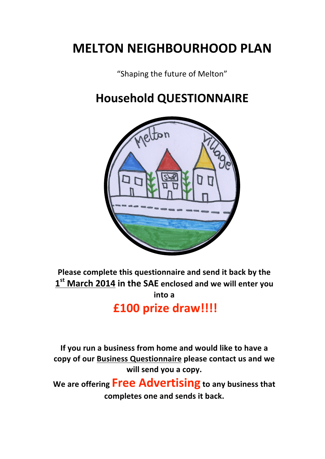# **MELTON
NEIGHBOURHOOD
PLAN**

"Shaping the future of Melton"

## **Household
QUESTIONNAIRE**



Please complete this questionnaire and send it back by the **1st March
2014 in
the
SAE enclosed
and
we
will
enter
you into
a**

**£100
prize
draw!!!!**

If you run a business from home and would like to have a **copy
of
our
Business
Questionnaire please
contact
us
and
we**  will send you a copy.

We are offering **Free Advertising** to any business that **completes one
and
sends it
back.**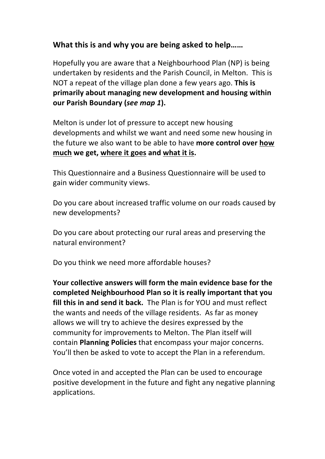## What this is and why you are being asked to help......

Hopefully
you
are
aware
that
a
Neighbourhood
Plan
(NP)
is
being undertaken by residents and the Parish Council, in Melton. This is NOT a repeat of the village plan done a few years ago. This is primarily about managing new development and housing within **our
Parish
Boundary
(***see map 1***).**

Melton is under lot of pressure to accept new housing developments and whilst we want and need some new housing in the future we also want to be able to have more control over how **much we
get,
where
it
goes and
what
it
is.**

This
Questionnaire
and
a
Business
Questionnaire
will
be
used
to gain
wider
community
views.

Do
you
care
about
increased
traffic
volume
on
our
roads
caused
by new
developments?

Do you care about protecting our rural areas and preserving the natural
environment?

Do
you
think
we
need
more
affordable
houses?

**Your collective
answers will
form
the
main
evidence
base
for
the completed Neighbourhood
Plan so
it
is
really
important
that
you**  fill this in and send it back. The Plan is for YOU and must reflect the wants and needs of the village residents. As far as money allows
we
will
try
to
achieve
the
desires
expressed
by
the community
for
improvements
to Melton.
The
Plan
itself
will contain **Planning
Policies** that encompass your
major
concerns. You'll then be asked to vote to accept the Plan in a referendum.

Once voted in and accepted the Plan can be used to encourage positive
development
in
the
future
and
fight
any
negative
planning applications.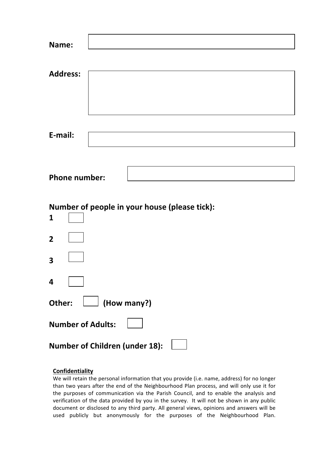| Name:                    |                                               |
|--------------------------|-----------------------------------------------|
|                          |                                               |
| <b>Address:</b>          |                                               |
|                          |                                               |
|                          |                                               |
|                          |                                               |
| E-mail:                  |                                               |
|                          |                                               |
|                          |                                               |
| <b>Phone number:</b>     |                                               |
|                          |                                               |
|                          |                                               |
|                          | Number of people in your house (please tick): |
| 1                        |                                               |
| $\overline{2}$           |                                               |
| 3                        |                                               |
| 4                        |                                               |
| Other:                   | (How many?)                                   |
| <b>Number of Adults:</b> |                                               |

#### **Confidentiality**

We will retain the personal information that you provide (i.e. name, address) for no longer than two years after the end of the Neighbourhood Plan process, and will only use it for the purposes of communication via the Parish Council, and to enable the analysis and verification of the data provided by you in the survey. It will not be shown in any public document or disclosed to any third party. All general views, opinions and answers will be used
 publicly
 but
 anonymously
 for
 the
 purposes
 of
 the
 Neighbourhood
 Plan.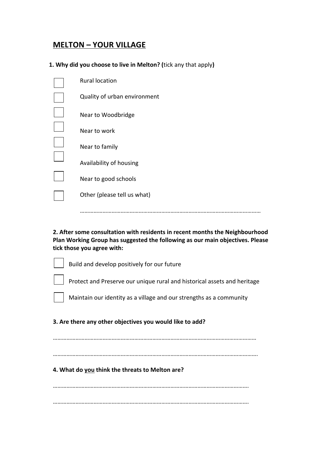### **MELTON
– YOUR
VILLAGE**

#### 1. Why did you choose to live in Melton? (tick any that apply)

| <b>Rural location</b>        |
|------------------------------|
| Quality of urban environment |
| Near to Woodbridge           |
| Near to work                 |
| Near to family               |
| Availability of housing      |
| Near to good schools         |
| Other (please tell us what)  |
|                              |

**2.
After
some
consultation
with
residents
in
recent
months
the
Neighbourhood Plan
Working
Group
has suggested
the
following
as
our
main
objectives.
Please tick
those
you
agree
with:**

…………………………………………………………………………………………………………

| Build and develop positively for our future                              |
|--------------------------------------------------------------------------|
| Protect and Preserve our unique rural and historical assets and heritage |
| Maintain our identity as a village and our strengths as a community      |
| 3. Are there any other objectives you would like to add?                 |
|                                                                          |
|                                                                          |
| 4. What do you think the threats to Melton are?                          |
|                                                                          |
|                                                                          |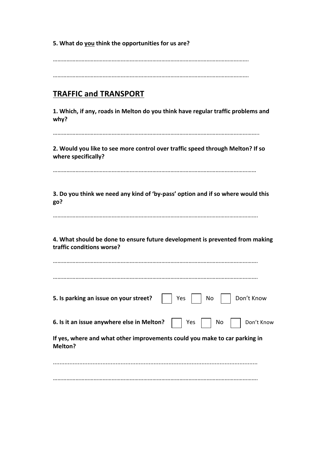| 5. What do you think the opportunities for us are? |  |
|----------------------------------------------------|--|
|----------------------------------------------------|--|

………………………………………………………………………………………………………………….

………………………………………………………………………………………………………………….

## **TRAFFIC
and
TRANSPORT**

**1.
Which,
if
any,
roads
in
Melton
do
you
think
have
regular
traffic
problems and why?**

………………………………………………………………………………………………………………………..

2. Would you like to see more control over traffic speed through Melton? If so **where specifically?**

………………………………………………………………………………………………………………………

3. Do you think we need any kind of 'by-pass' option and if so where would this **go?**

……………………………………………………………………………………………………………………….

**4.
What
should
be
done
to
ensure future
development
is prevented
from
making traffic
conditions
worse?**

| Yes<br>Don't Know<br>No<br>5. Is parking an issue on your street?                     |
|---------------------------------------------------------------------------------------|
| 6. Is it an issue anywhere else in Melton?<br>Yes<br>No<br>Don't Know                 |
| If yes, where and what other improvements could you make to car parking in<br>Melton? |
|                                                                                       |

……………………………………………………………………………………………………………………….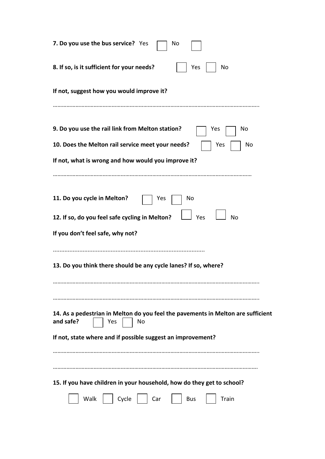| 7. Do you use the bus service? Yes<br>No                                                                                                           |
|----------------------------------------------------------------------------------------------------------------------------------------------------|
| 8. If so, is it sufficient for your needs?<br>No<br>Yes                                                                                            |
| If not, suggest how you would improve it?                                                                                                          |
| 9. Do you use the rail link from Melton station?<br>No<br>Yes                                                                                      |
| 10. Does the Melton rail service meet your needs?<br>No<br>Yes                                                                                     |
| If not, what is wrong and how would you improve it?                                                                                                |
| 11. Do you cycle in Melton?<br>No<br>Yes<br>12. If so, do you feel safe cycling in Melton?<br>Yes<br><b>No</b><br>If you don't feel safe, why not? |
| 13. Do you think there should be any cycle lanes? If so, where?                                                                                    |
|                                                                                                                                                    |
|                                                                                                                                                    |
| 14. As a pedestrian in Melton do you feel the pavements in Melton are sufficient<br>and safe?<br>No<br>Yes                                         |
| If not, state where and if possible suggest an improvement?                                                                                        |
|                                                                                                                                                    |
| 15. If you have children in your household, how do they get to school?                                                                             |
| Walk<br>Cycle<br>Train<br>Car<br><b>Bus</b>                                                                                                        |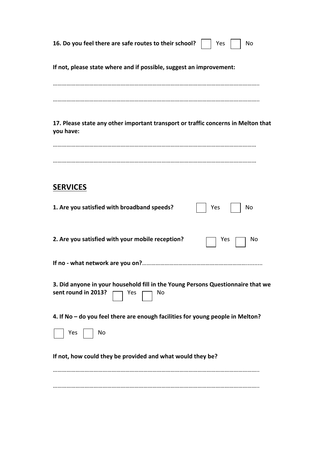| 16. Do you feel there are safe routes to their school?<br>No<br>Yes                                                 |
|---------------------------------------------------------------------------------------------------------------------|
| If not, please state where and if possible, suggest an improvement:                                                 |
|                                                                                                                     |
| 17. Please state any other important transport or traffic concerns in Melton that<br>you have:                      |
|                                                                                                                     |
| <b>SERVICES</b>                                                                                                     |
| 1. Are you satisfied with broadband speeds?<br>No<br>Yes                                                            |
| 2. Are you satisfied with your mobile reception?<br>Νo<br><b>Yes</b>                                                |
|                                                                                                                     |
| 3. Did anyone in your household fill in the Young Persons Questionnaire that we<br>sent round in 2013?<br>Yes<br>No |
| 4. If No - do you feel there are enough facilities for young people in Melton?                                      |
| Yes<br>No                                                                                                           |
| If not, how could they be provided and what would they be?                                                          |
|                                                                                                                     |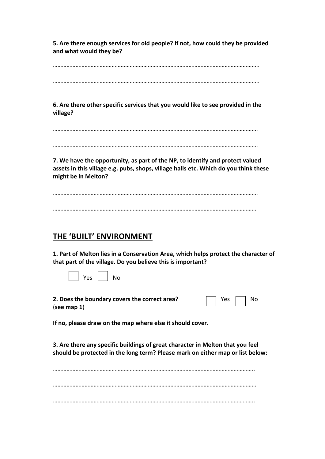**5.
Are
there
enough
services
for
old
people?
If
not,
how
could
they
be provided and
what
would
they
be?**

………………………………………………………………………………………………………………………..

………………………………………………………………………………………………………………………..

**6.
Are
there
other
specific
services
that
you
would
like
to
see
provided
in the village?**

……………………………………………………………………………………………………………………….

……………………………………………………………………………………………………………………….

**7.** We have the opportunity, as part of the NP, to identify and protect valued **assets
in
this
village
e.g. pubs,
shops,
village
halls
etc.
Which do
you
think
these might
be
in
Melton?**

………………………………………………………………………………………………………………………. ………………………………………………………………………………………………………………………

#### **THE
'BUILT'
ENVIRONMENT**

1. Part of Melton lies in a Conservation Area, which helps protect the character of **that
part
of
the
village.
Do
you
believe
this
is
important?**

|  | ⁄ ∩כ | J∩ |
|--|------|----|
|  |      |    |
|  |      |    |

2. Does the boundary covers the correct area? (**see
map
1**)

| n | No |
|---|----|
|   |    |

**If
no,
please
draw
on
the map
where
else
it
should
cover.**

3. Are there any specific buildings of great character in Melton that you feel should be protected in the long term? Please mark on either map or list below:

…………………………………………………………………………………………………………………….. ……………………………………………………………………………………………………………………… ……………………………………………………………………………………………………………………..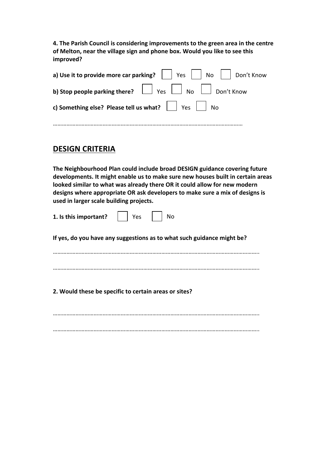4. The Parish Council is considering improvements to the green area in the centre of Melton, near the village sign and phone box. Would you like to see this **improved?**

| a) Use it to provide more car parking? $\Box$ Yes $\Box$ No $\Box$ Don't Know |
|-------------------------------------------------------------------------------|
| <b>b) Stop people parking there?</b> $\Box$ Yes $\Box$ No $\Box$ Don't Know   |
| c) Something else? Please tell us what? Ves No                                |
|                                                                               |

#### **DESIGN CRITERIA**

**The
Neighbourhood
Plan
could
include
broad
DESIGN
guidance
covering
future**  developments. It might enable us to make sure new houses built in certain areas looked similar to what was already there OR it could allow for new modern designs where appropriate OR ask developers to make sure a mix of designs is **used
in
larger
scale
building
projects.**

| 1. Is this important?                                                  | Yes | <b>No</b> |  |
|------------------------------------------------------------------------|-----|-----------|--|
| If yes, do you have any suggestions as to what such guidance might be? |     |           |  |
|                                                                        |     |           |  |
|                                                                        |     |           |  |
| 2. Would these be specific to certain areas or sites?                  |     |           |  |
|                                                                        |     |           |  |
|                                                                        |     |           |  |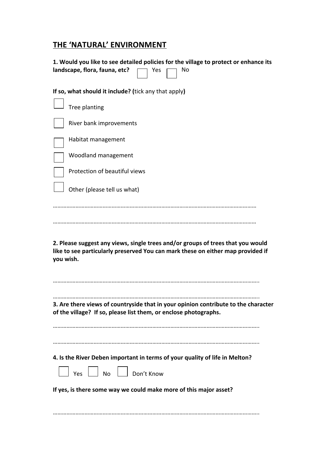## **THE
'NATURAL'
ENVIRONMENT**

| 1. Would you like to see detailed policies for the village to protect or enhance its<br>landscape, flora, fauna, etc?<br>Yes<br>No                                              |
|---------------------------------------------------------------------------------------------------------------------------------------------------------------------------------|
| If so, what should it include? (tick any that apply)                                                                                                                            |
| Tree planting                                                                                                                                                                   |
| River bank improvements                                                                                                                                                         |
| Habitat management                                                                                                                                                              |
| Woodland management                                                                                                                                                             |
| Protection of beautiful views                                                                                                                                                   |
| Other (please tell us what)                                                                                                                                                     |
|                                                                                                                                                                                 |
| 2. Please suggest any views, single trees and/or groups of trees that you would<br>like to see particularly preserved You can mark these on either map provided if<br>you wish. |
| 3. Are there views of countryside that in your opinion contribute to the character<br>of the village? If so, please list them, or enclose photographs.                          |
| 4. Is the River Deben important in terms of your quality of life in Melton?                                                                                                     |
| Ves No Don't Know                                                                                                                                                               |
| If yes, is there some way we could make more of this major asset?                                                                                                               |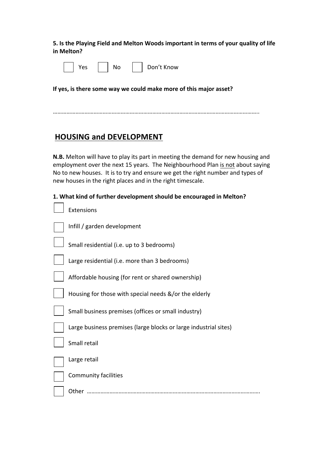**5.
Is
the
Playing
Field
and
Melton
Woods
important
in
terms
of
your
quality
of
life in
Melton?**

|  |  |  |  |  |  | Don't Know |
|--|--|--|--|--|--|------------|
|--|--|--|--|--|--|------------|

If yes, is there some way we could make more of this major asset?

………………………………………………………………………………………………………………………..

### **HOUSING
and
DEVELOPMENT**

N.B. Melton will have to play its part in meeting the demand for new housing and employment over the next 15 years. The Neighbourhood Plan is not about saying No to new houses. It is to try and ensure we get the right number and types of new
houses
in
the
right
places
and
in
the
right
timescale.

#### **1.
What
kind
of
further
development
should
be
encouraged
in
Melton?**

| Extensions                                                       |
|------------------------------------------------------------------|
| Infill / garden development                                      |
| Small residential (i.e. up to 3 bedrooms)                        |
| Large residential (i.e. more than 3 bedrooms)                    |
| Affordable housing (for rent or shared ownership)                |
| Housing for those with special needs &/or the elderly            |
| Small business premises (offices or small industry)              |
| Large business premises (large blocks or large industrial sites) |
| Small retail                                                     |
| Large retail                                                     |
| Community facilities                                             |
| Other                                                            |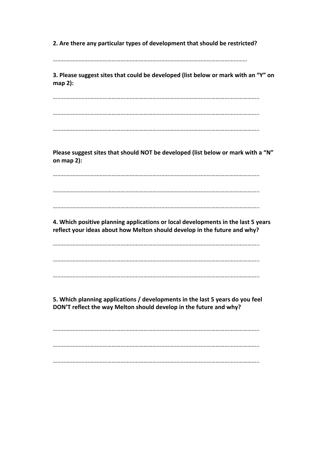**2.
Are
there
any
particular
types
of
development
that
should
be
restricted?**

 $\mathcal{L}^{\text{max}}$ 

**3.
Please suggest sites
that
could
be
developed
(list
below
or
mark
with
an
"Y" on map
2):**

……………………………………………………………………………………………………………………….. ………………………………………………………………………………………………………………………..

………………………………………………………………………………………………………………………..

Please suggest sites that should NOT be developed (list below or mark with a "N" **on
map
2):**

………………………………………………………………………………………………………………………..

………………………………………………………………………………………………………………………..

………………………………………………………………………………………………………………………..

**4.
Which
positive
planning
applications
or
local
developments
in
the
last
5
years reflect
your
ideas
about
how
Melton should
develop
in
the
future and
why?**

……………………………………………………………………………………………………………………….. ………………………………………………………………………………………………………………………..

………………………………………………………………………………………………………………………..

**5.
Which
planning
applications
/
developments
in
the
last
5
years
do
you
feel DON'T
reflect
the
way
Melton
should
develop
in
the
future and
why?**

……………………………………………………………………………………………………………………….. ……………………………………………………………………………………………………………………….. ………………………………………………………………………………………………………………………..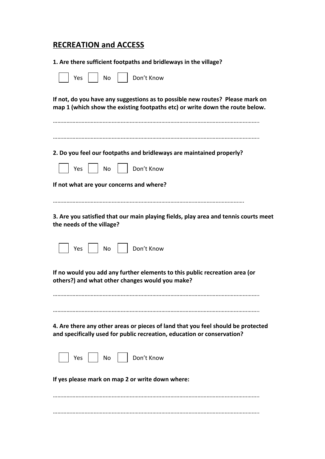## **RECREATION
and
ACCESS**

| 1. Are there sufficient footpaths and bridleways in the village?                                                                                              |
|---------------------------------------------------------------------------------------------------------------------------------------------------------------|
| Don't Know<br>Yes<br>No                                                                                                                                       |
| If not, do you have any suggestions as to possible new routes? Please mark on<br>map 1 (which show the existing footpaths etc) or write down the route below. |
|                                                                                                                                                               |
|                                                                                                                                                               |
| 2. Do you feel our footpaths and bridleways are maintained properly?                                                                                          |
| No<br>Don't Know<br>Yes                                                                                                                                       |
| If not what are your concerns and where?                                                                                                                      |
|                                                                                                                                                               |
| 3. Are you satisfied that our main playing fields, play area and tennis courts meet<br>the needs of the village?                                              |
| Don't Know<br>Yes<br>No                                                                                                                                       |
| If no would you add any further elements to this public recreation area (or<br>others?) and what other changes would you make?                                |
|                                                                                                                                                               |
|                                                                                                                                                               |
| 4. Are there any other areas or pieces of land that you feel should be protected<br>and specifically used for public recreation, education or conservation?   |
| Don't Know<br>Yes     No                                                                                                                                      |
| If yes please mark on map 2 or write down where:                                                                                                              |
|                                                                                                                                                               |
|                                                                                                                                                               |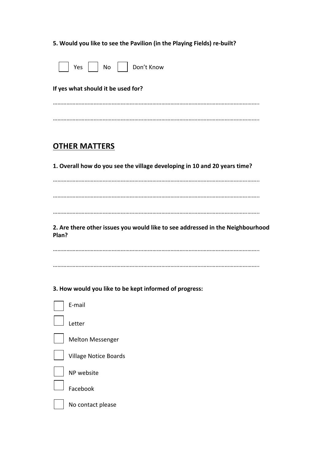#### 5. Would you like to see the Pavilion (in the Playing Fields) re-built?

|  |  |  |  | Don't Know |
|--|--|--|--|------------|
|--|--|--|--|------------|

**If
yes
what
should
it
be
used
for?**

………………………………………………………………………………………………………………………..

### **OTHER
MATTERS**

**1.
Overall
how
do
you
see
the
village
developing
in
10
and
20
years
time?**

………………………………………………………………………………………………………………………..

………………………………………………………………………………………………………………………..

………………………………………………………………………………………………………………………..

2. Are there other issues you would like to see addressed in the Neighbourhood **Plan?**

………………………………………………………………………………………………………………………..

………………………………………………………………………………………………………………………..

**3.
How
would
you
like
to
be
kept
informed
of
progress:**

| E-mail                       |
|------------------------------|
| Letter                       |
| <b>Melton Messenger</b>      |
| <b>Village Notice Boards</b> |
| NP website                   |
| Facebook                     |
| No contact please            |